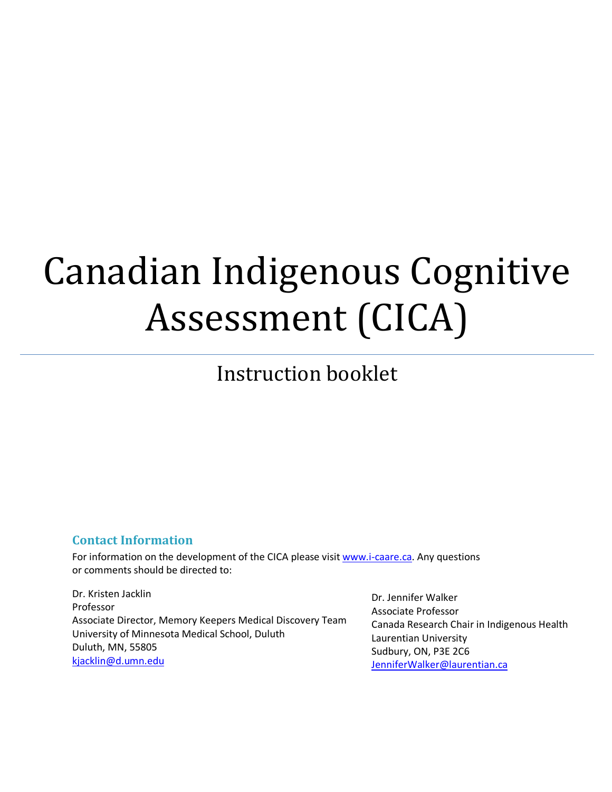# Canadian Indigenous Cognitive Assessment (CICA)

# Instruction booklet

# **Contact Information**

For information on the development of the CICA please visit www.i-caare.ca. Any questions or comments should be directed to:

Dr. Kristen Jacklin Professor Associate Director, Memory Keepers Medical Discovery Team University of Minnesota Medical School, Duluth Duluth, MN, 55805 kjacklin@d.umn.edu

Dr. Jennifer Walker Associate Professor Canada Research Chair in Indigenous Health Laurentian University Sudbury, ON, P3E 2C6 JenniferWalker@laurentian.ca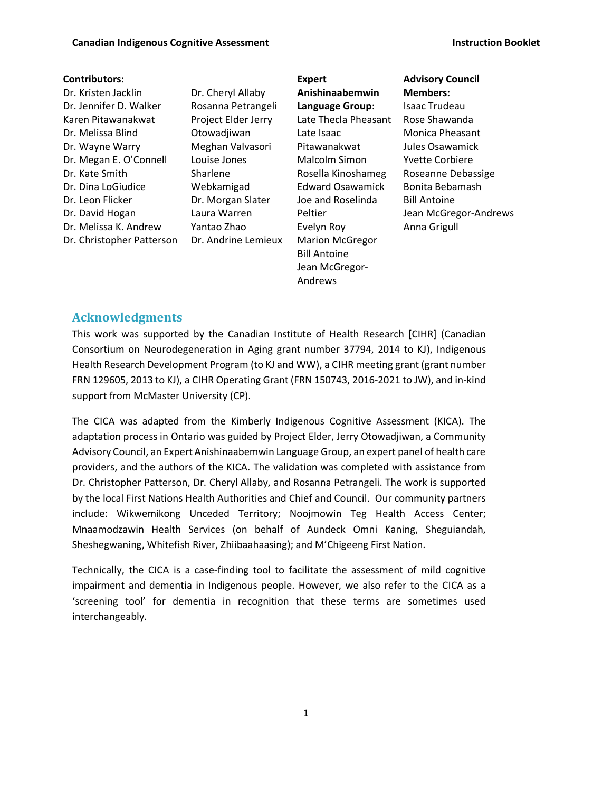#### **Contributors:**

Dr. Kristen Jacklin Dr. Jennifer D. Walker Karen Pitawanakwat Dr. Melissa Blind Dr. Wayne Warry Dr. Megan E. O'Connell Dr. Kate Smith Dr. Dina LoGiudice Dr. Leon Flicker Dr. David Hogan Dr. Melissa K. Andrew Dr. Christopher Patterson

Dr. Cheryl Allaby Rosanna Petrangeli Project Elder Jerry Otowadjiwan Meghan Valvasori Louise Jones Sharlene Webkamigad Dr. Morgan Slater Laura Warren Yantao Zhao Dr. Andrine Lemieux

**Expert Anishinaabemwin Language Group**: Late Thecla Pheasant Late Isaac Pitawanakwat Malcolm Simon Rosella Kinoshameg Edward Osawamick Joe and Roselinda Peltier Evelyn Roy Marion McGregor Bill Antoine Jean McGregor-Andrews

**Advisory Council Members:** Isaac Trudeau Rose Shawanda Monica Pheasant Jules Osawamick Yvette Corbiere Roseanne Debassige Bonita Bebamash Bill Antoine Jean McGregor-Andrews Anna Grigull

#### **Acknowledgments**

This work was supported by the Canadian Institute of Health Research [CIHR] (Canadian Consortium on Neurodegeneration in Aging grant number 37794, 2014 to KJ), Indigenous Health Research Development Program (to KJ and WW), a CIHR meeting grant (grant number FRN 129605, 2013 to KJ), a CIHR Operating Grant (FRN 150743, 2016-2021 to JW), and in-kind support from McMaster University (CP).

The CICA was adapted from the Kimberly Indigenous Cognitive Assessment (KICA). The adaptation process in Ontario was guided by Project Elder, Jerry Otowadjiwan, a Community Advisory Council, an Expert Anishinaabemwin Language Group, an expert panel of health care providers, and the authors of the KICA. The validation was completed with assistance from Dr. Christopher Patterson, Dr. Cheryl Allaby, and Rosanna Petrangeli. The work is supported by the local First Nations Health Authorities and Chief and Council. Our community partners include: Wikwemikong Unceded Territory; Noojmowin Teg Health Access Center; Mnaamodzawin Health Services (on behalf of Aundeck Omni Kaning, Sheguiandah, Sheshegwaning, Whitefish River, Zhiibaahaasing); and M'Chigeeng First Nation.

Technically, the CICA is a case-finding tool to facilitate the assessment of mild cognitive impairment and dementia in Indigenous people. However, we also refer to the CICA as a 'screening tool' for dementia in recognition that these terms are sometimes used interchangeably.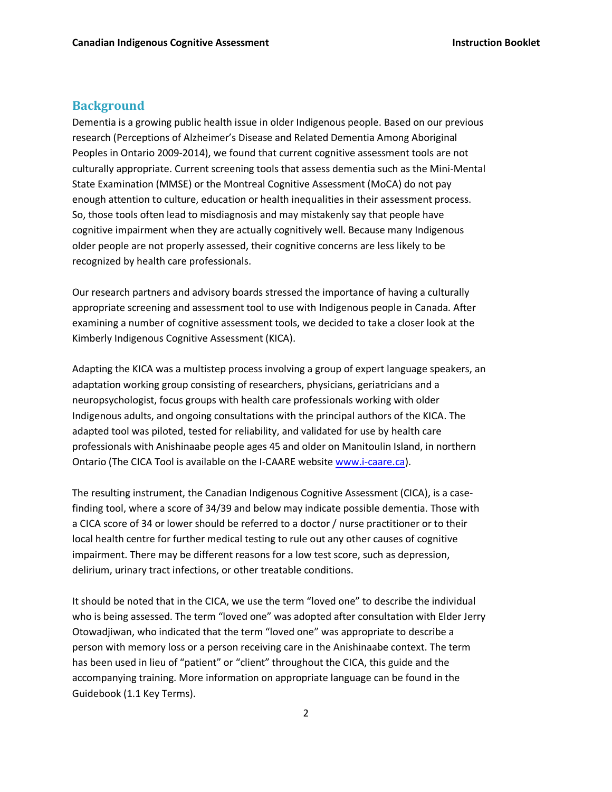#### **Background**

Dementia is a growing public health issue in older Indigenous people. Based on our previous research (Perceptions of Alzheimer's Disease and Related Dementia Among Aboriginal Peoples in Ontario 2009-2014), we found that current cognitive assessment tools are not culturally appropriate. Current screening tools that assess dementia such as the Mini-Mental State Examination (MMSE) or the Montreal Cognitive Assessment (MoCA) do not pay enough attention to culture, education or health inequalities in their assessment process. So, those tools often lead to misdiagnosis and may mistakenly say that people have cognitive impairment when they are actually cognitively well. Because many Indigenous older people are not properly assessed, their cognitive concerns are less likely to be recognized by health care professionals.

Our research partners and advisory boards stressed the importance of having a culturally appropriate screening and assessment tool to use with Indigenous people in Canada. After examining a number of cognitive assessment tools, we decided to take a closer look at the Kimberly Indigenous Cognitive Assessment (KICA).

Adapting the KICA was a multistep process involving a group of expert language speakers, an adaptation working group consisting of researchers, physicians, geriatricians and a neuropsychologist, focus groups with health care professionals working with older Indigenous adults, and ongoing consultations with the principal authors of the KICA. The adapted tool was piloted, tested for reliability, and validated for use by health care professionals with Anishinaabe people ages 45 and older on Manitoulin Island, in northern Ontario (The CICA Tool is available on the I-CAARE website www.i-caare.ca).

The resulting instrument, the Canadian Indigenous Cognitive Assessment (CICA), is a casefinding tool, where a score of 34/39 and below may indicate possible dementia. Those with a CICA score of 34 or lower should be referred to a doctor / nurse practitioner or to their local health centre for further medical testing to rule out any other causes of cognitive impairment. There may be different reasons for a low test score, such as depression, delirium, urinary tract infections, or other treatable conditions.

It should be noted that in the CICA, we use the term "loved one" to describe the individual who is being assessed. The term "loved one" was adopted after consultation with Elder Jerry Otowadjiwan, who indicated that the term "loved one" was appropriate to describe a person with memory loss or a person receiving care in the Anishinaabe context. The term has been used in lieu of "patient" or "client" throughout the CICA, this guide and the accompanying training. More information on appropriate language can be found in the Guidebook (1.1 Key Terms).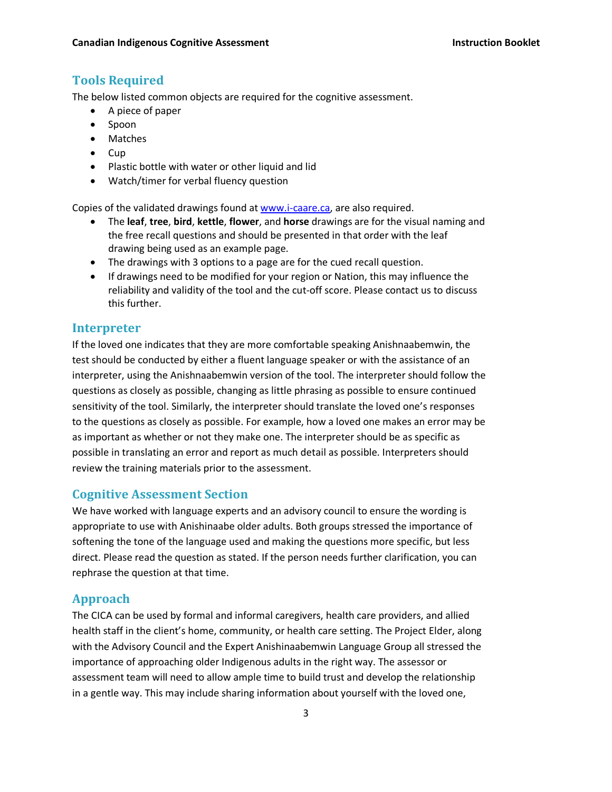# **Tools Required**

The below listed common objects are required for the cognitive assessment.

- A piece of paper
- Spoon
- Matches
- Cup
- Plastic bottle with water or other liquid and lid
- Watch/timer for verbal fluency question

Copies of the validated drawings found at www.i-caare.ca, are also required.

- The **leaf**, **tree**, **bird**, **kettle**, **flower**, and **horse** drawings are for the visual naming and the free recall questions and should be presented in that order with the leaf drawing being used as an example page.
- The drawings with 3 options to a page are for the cued recall question.
- If drawings need to be modified for your region or Nation, this may influence the reliability and validity of the tool and the cut-off score. Please contact us to discuss this further.

### **Interpreter**

If the loved one indicates that they are more comfortable speaking Anishnaabemwin, the test should be conducted by either a fluent language speaker or with the assistance of an interpreter, using the Anishnaabemwin version of the tool. The interpreter should follow the questions as closely as possible, changing as little phrasing as possible to ensure continued sensitivity of the tool. Similarly, the interpreter should translate the loved one's responses to the questions as closely as possible. For example, how a loved one makes an error may be as important as whether or not they make one. The interpreter should be as specific as possible in translating an error and report as much detail as possible. Interpreters should review the training materials prior to the assessment.

# **Cognitive Assessment Section**

We have worked with language experts and an advisory council to ensure the wording is appropriate to use with Anishinaabe older adults. Both groups stressed the importance of softening the tone of the language used and making the questions more specific, but less direct. Please read the question as stated. If the person needs further clarification, you can rephrase the question at that time.

# **Approach**

The CICA can be used by formal and informal caregivers, health care providers, and allied health staff in the client's home, community, or health care setting. The Project Elder, along with the Advisory Council and the Expert Anishinaabemwin Language Group all stressed the importance of approaching older Indigenous adults in the right way. The assessor or assessment team will need to allow ample time to build trust and develop the relationship in a gentle way. This may include sharing information about yourself with the loved one,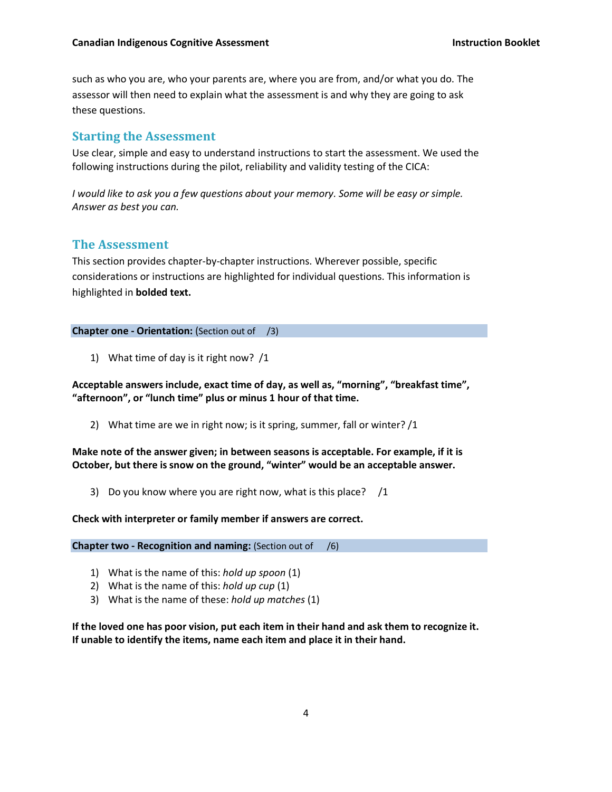such as who you are, who your parents are, where you are from, and/or what you do. The assessor will then need to explain what the assessment is and why they are going to ask these questions.

# **Starting the Assessment**

Use clear, simple and easy to understand instructions to start the assessment. We used the following instructions during the pilot, reliability and validity testing of the CICA:

*I would like to ask you a few questions about your memory. Some will be easy or simple. Answer as best you can.* 

#### **The Assessment**

This section provides chapter-by-chapter instructions. Wherever possible, specific considerations or instructions are highlighted for individual questions. This information is highlighted in **bolded text.**

**Chapter one - Orientation:** (Section out of /3)

1) What time of day is it right now? /1

**Acceptable answers include, exact time of day, as well as, "morning", "breakfast time", "afternoon", or "lunch time" plus or minus 1 hour of that time.**

2) What time are we in right now; is it spring, summer, fall or winter? /1

**Make note of the answer given; in between seasons is acceptable. For example, if it is October, but there is snow on the ground, "winter" would be an acceptable answer.**

3) Do you know where you are right now, what is this place? /1

**Check with interpreter or family member if answers are correct.**

**Chapter two - Recognition and naming:** (Section out of /6)

- 1) What is the name of this: *hold up spoon* (1)
- 2) What is the name of this: *hold up cup* (1)
- 3) What is the name of these: *hold up matches* (1)

**If the loved one has poor vision, put each item in their hand and ask them to recognize it. If unable to identify the items, name each item and place it in their hand.**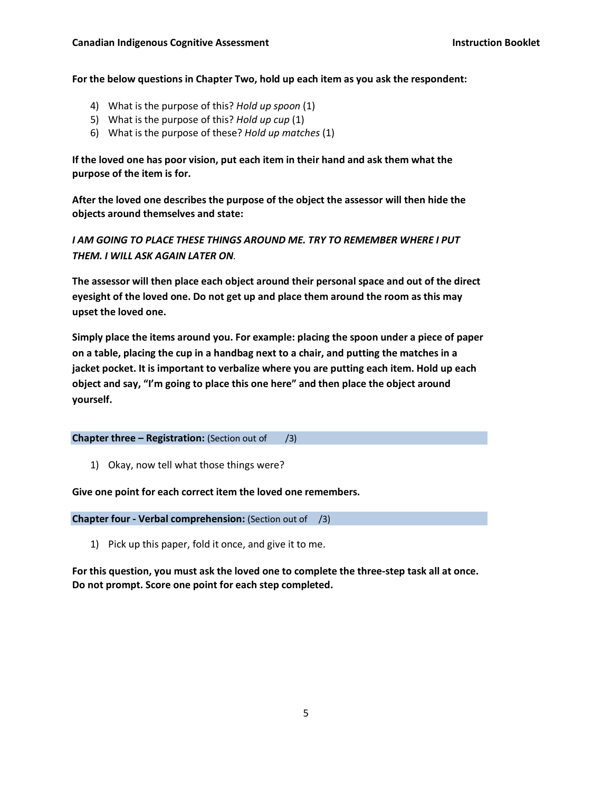**For the below questions in Chapter Two, hold up each item as you ask the respondent:**

- 4) What is the purpose of this? *Hold up spoon* (1)
- 5) What is the purpose of this? *Hold up cup* (1)
- 6) What is the purpose of these? *Hold up matches* (1)

**If the loved one has poor vision, put each item in their hand and ask them what the purpose of the item is for.** 

**After the loved one describes the purpose of the object the assessor will then hide the objects around themselves and state:** 

*I AM GOING TO PLACE THESE THINGS AROUND ME. TRY TO REMEMBER WHERE I PUT THEM. I WILL ASK AGAIN LATER ON.*

**The assessor will then place each object around their personal space and out of the direct eyesight of the loved one. Do not get up and place them around the room as this may upset the loved one.** 

**Simply place the items around you. For example: placing the spoon under a piece of paper on a table, placing the cup in a handbag next to a chair, and putting the matches in a jacket pocket. It is important to verbalize where you are putting each item. Hold up each object and say, "I'm going to place this one here" and then place the object around yourself.** 

**Chapter three – Registration:** (Section out of /3)

1) Okay, now tell what those things were?

**Give one point for each correct item the loved one remembers.** 

**Chapter four - Verbal comprehension:** (Section out of /3)

1) Pick up this paper, fold it once, and give it to me.

**For this question, you must ask the loved one to complete the three-step task all at once. Do not prompt. Score one point for each step completed.**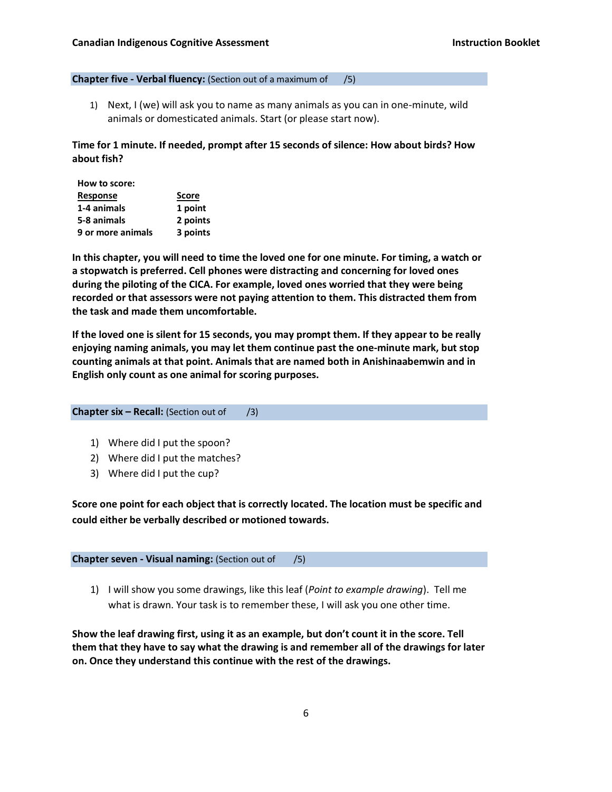#### **Chapter five - Verbal fluency:** (Section out of a maximum of /5)

1) Next, I (we) will ask you to name as many animals as you can in one-minute, wild animals or domesticated animals. Start (or please start now).

**Time for 1 minute. If needed, prompt after 15 seconds of silence: How about birds? How about fish?**

| How to score:     |              |
|-------------------|--------------|
| <b>Response</b>   | <b>Score</b> |
| 1-4 animals       | 1 point      |
| 5-8 animals       | 2 points     |
| 9 or more animals | 3 points     |

**In this chapter, you will need to time the loved one for one minute. For timing, a watch or a stopwatch is preferred. Cell phones were distracting and concerning for loved ones during the piloting of the CICA. For example, loved ones worried that they were being recorded or that assessors were not paying attention to them. This distracted them from the task and made them uncomfortable.**

**If the loved one is silent for 15 seconds, you may prompt them. If they appear to be really enjoying naming animals, you may let them continue past the one-minute mark, but stop counting animals at that point. Animals that are named both in Anishinaabemwin and in English only count as one animal for scoring purposes.**

```
Chapter six – Recall: (Section out of /3)
```
- 1) Where did I put the spoon?
- 2) Where did I put the matches?
- 3) Where did I put the cup?

**Score one point for each object that is correctly located. The location must be specific and could either be verbally described or motioned towards.**

**Chapter seven - Visual naming:** (Section out of /5)

1) I will show you some drawings, like this leaf (*Point to example drawing*). Tell me what is drawn. Your task is to remember these, I will ask you one other time.

**Show the leaf drawing first, using it as an example, but don't count it in the score. Tell them that they have to say what the drawing is and remember all of the drawings for later on. Once they understand this continue with the rest of the drawings.**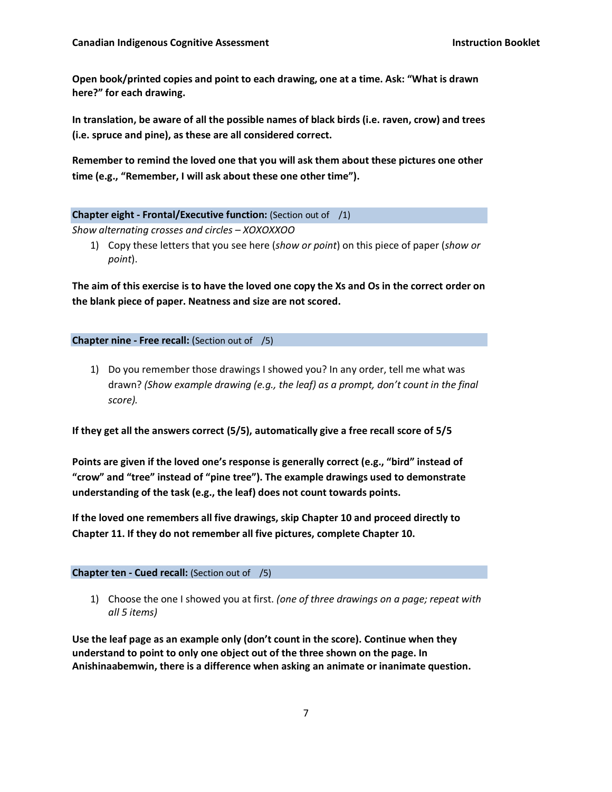**Open book/printed copies and point to each drawing, one at a time. Ask: "What is drawn here?" for each drawing.**

**In translation, be aware of all the possible names of black birds (i.e. raven, crow) and trees (i.e. spruce and pine), as these are all considered correct.** 

**Remember to remind the loved one that you will ask them about these pictures one other time (e.g., "Remember, I will ask about these one other time").**

#### **Chapter eight - Frontal/Executive function:** (Section out of /1)

*Show alternating crosses and circles – XOXOXXOO*

1) Copy these letters that you see here (*show or point*) on this piece of paper (*show or point*).

**The aim of this exercise is to have the loved one copy the Xs and Os in the correct order on the blank piece of paper. Neatness and size are not scored.**

**Chapter nine - Free recall:** (Section out of /5)

1) Do you remember those drawings I showed you? In any order, tell me what was drawn? *(Show example drawing (e.g., the leaf) as a prompt, don't count in the final score).*

**If they get all the answers correct (5/5), automatically give a free recall score of 5/5**

**Points are given if the loved one's response is generally correct (e.g., "bird" instead of "crow" and "tree" instead of "pine tree"). The example drawings used to demonstrate understanding of the task (e.g., the leaf) does not count towards points.**

**If the loved one remembers all five drawings, skip Chapter 10 and proceed directly to Chapter 11. If they do not remember all five pictures, complete Chapter 10.**

**Chapter ten - Cued recall:** (Section out of /5)

1) Choose the one I showed you at first. *(one of three drawings on a page; repeat with all 5 items)*

**Use the leaf page as an example only (don't count in the score). Continue when they understand to point to only one object out of the three shown on the page. In Anishinaabemwin, there is a difference when asking an animate or inanimate question.**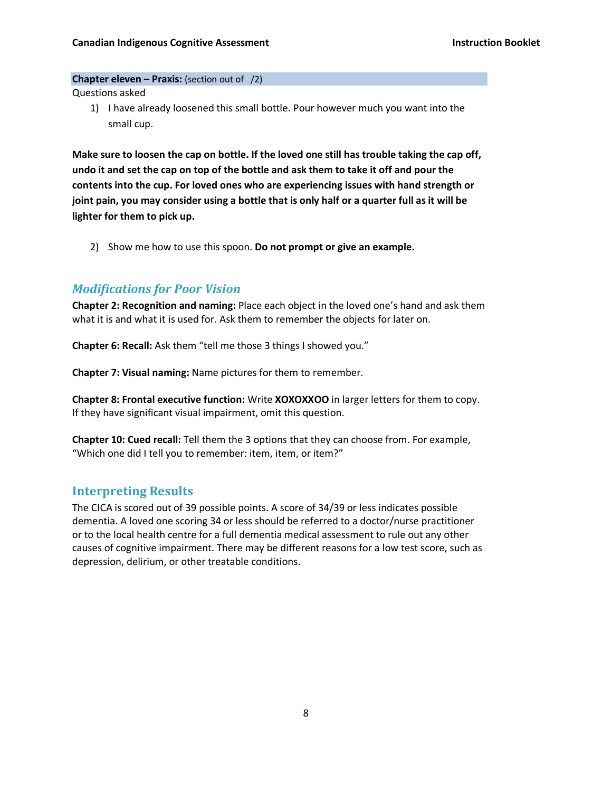#### **Chapter eleven – Praxis:** (section out of /2)

Questions asked

1) I have already loosened this small bottle. Pour however much you want into the small cup.

**Make sure to loosen the cap on bottle. If the loved one still has trouble taking the cap off, undo it and set the cap on top of the bottle and ask them to take it off and pour the contents into the cup. For loved ones who are experiencing issues with hand strength or joint pain, you may consider using a bottle that is only half or a quarter full as it will be lighter for them to pick up.**

2) Show me how to use this spoon. **Do not prompt or give an example.**

### *Modifications for Poor Vision*

**Chapter 2: Recognition and naming:** Place each object in the loved one's hand and ask them what it is and what it is used for. Ask them to remember the objects for later on.

**Chapter 6: Recall:** Ask them "tell me those 3 things I showed you."

**Chapter 7: Visual naming:** Name pictures for them to remember.

**Chapter 8: Frontal executive function:** Write **XOXOXXOO** in larger letters for them to copy. If they have significant visual impairment, omit this question.

**Chapter 10: Cued recall:** Tell them the 3 options that they can choose from. For example, "Which one did I tell you to remember: item, item, or item?"

# **Interpreting Results**

The CICA is scored out of 39 possible points. A score of 34/39 or less indicates possible dementia. A loved one scoring 34 or less should be referred to a doctor/nurse practitioner or to the local health centre for a full dementia medical assessment to rule out any other causes of cognitive impairment. There may be different reasons for a low test score, such as depression, delirium, or other treatable conditions.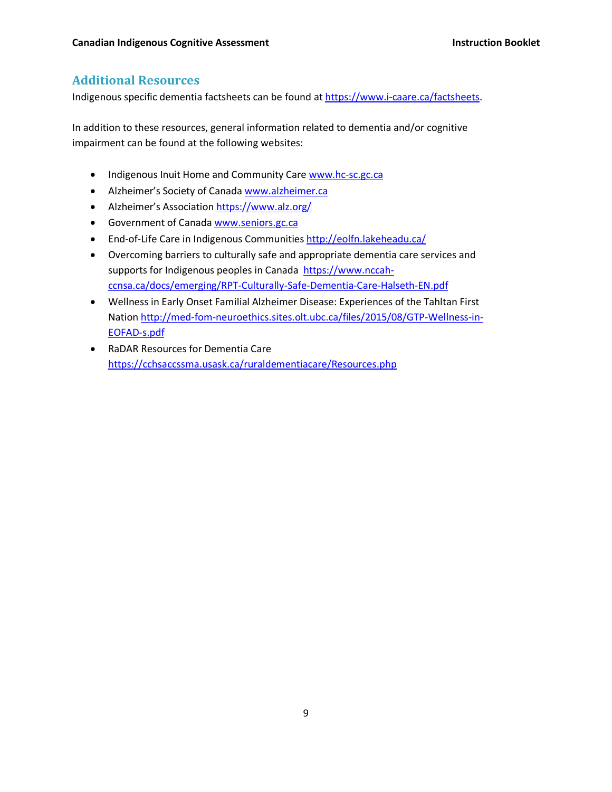# **Additional Resources**

Indigenous specific dementia factsheets can be found at https://www.i-caare.ca/factsheets.

In addition to these resources, general information related to dementia and/or cognitive impairment can be found at the following websites:

- Indigenous Inuit Home and Community Care www.hc-sc.gc.ca
- Alzheimer's Society of Canada www.alzheimer.ca
- Alzheimer's Association https://www.alz.org/
- Government of Canada www.seniors.gc.ca
- End-of-Life Care in Indigenous Communities http://eolfn.lakeheadu.ca/
- Overcoming barriers to culturally safe and appropriate dementia care services and supports for Indigenous peoples in Canada https://www.nccahccnsa.ca/docs/emerging/RPT-Culturally-Safe-Dementia-Care-Halseth-EN.pdf
- Wellness in Early Onset Familial Alzheimer Disease: Experiences of the Tahltan First Nation http://med-fom-neuroethics.sites.olt.ubc.ca/files/2015/08/GTP-Wellness-in-EOFAD-s.pdf
- RaDAR Resources for Dementia Care https://cchsaccssma.usask.ca/ruraldementiacare/Resources.php